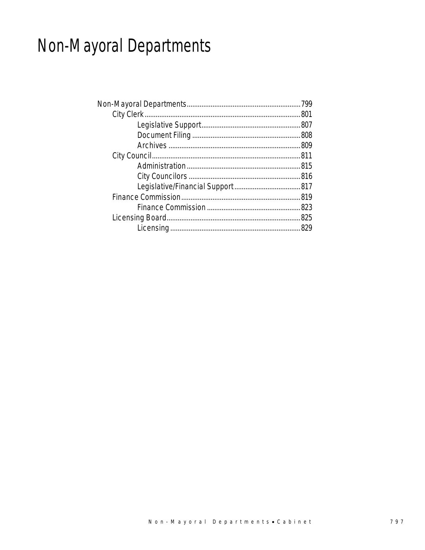# Non-Mayoral Departments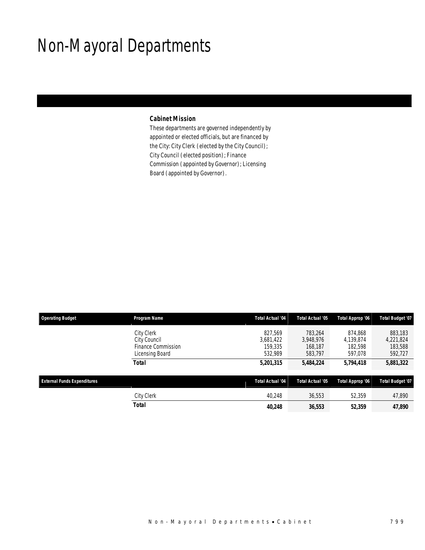## Non-Mayoral Departments

#### *Cabinet Mission*

These departments are governed independently by appointed or elected officials, but are financed by the City: City Clerk (elected by the City Council); City Council (elected position); Finance Commission (appointed by Governor); Licensing Board (appointed by Governor).

| <b>Operating Budget</b>            | Program Name                                                        | <b>Total Actual '04</b>                    | <b>Total Actual '05</b>                    | Total Approp '06                           | <b>Total Budget '07</b>                    |
|------------------------------------|---------------------------------------------------------------------|--------------------------------------------|--------------------------------------------|--------------------------------------------|--------------------------------------------|
|                                    | City Clerk<br>City Council<br>Finance Commission<br>Licensing Board | 827.569<br>3,681,422<br>159,335<br>532,989 | 783.264<br>3.948.976<br>168.187<br>583,797 | 874.868<br>4,139,874<br>182.598<br>597,078 | 883,183<br>4,221,824<br>183,588<br>592,727 |
|                                    | Total                                                               | 5,201,315                                  | 5,484,224                                  | 5,794,418                                  | 5,881,322                                  |
| <b>External Funds Expenditures</b> |                                                                     | Total Actual '04                           | Total Actual '05                           | Total Approp '06                           | <b>Total Budget '07</b>                    |
|                                    | City Clerk                                                          | 40,248                                     | 36.553                                     | 52,359                                     | 47,890                                     |
|                                    | <b>Total</b>                                                        | 40,248                                     | 36,553                                     | 52,359                                     | 47,890                                     |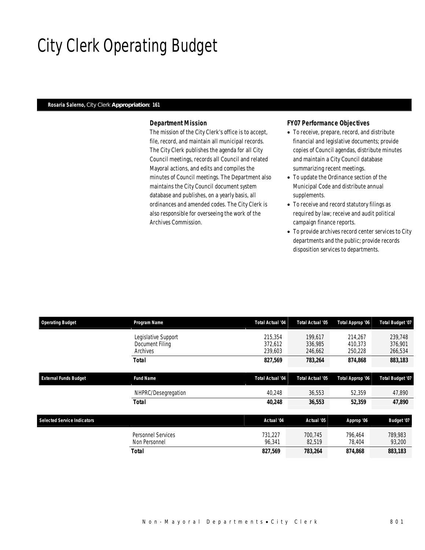# City Clerk Operating Budget

#### *Rosaria Salerno, City Clerk Appropriation: 161*

#### *Department Mission*

The mission of the City Clerk's office is to accept, file, record, and maintain all municipal records. The City Clerk publishes the agenda for all City Council meetings, records all Council and related Mayoral actions, and edits and compiles the minutes of Council meetings. The Department also maintains the City Council document system database and publishes, on a yearly basis, all ordinances and amended codes. The City Clerk is also responsible for overseeing the work of the Archives Commission.

#### *FY07 Performance Objectives*

- To receive, prepare, record, and distribute financial and legislative documents; provide copies of Council agendas, distribute minutes and maintain a City Council database summarizing recent meetings.
- To update the Ordinance section of the Municipal Code and distribute annual supplements.
- To receive and record statutory filings as required by law; receive and audit political campaign finance reports.
- To provide archives record center services to City departments and the public; provide records disposition services to departments.

| <b>Operating Budget</b>            | Program Name                                       | <b>Total Actual '04</b>       | Total Actual '05              | Total Approp '06              | Total Budget '07              |
|------------------------------------|----------------------------------------------------|-------------------------------|-------------------------------|-------------------------------|-------------------------------|
|                                    | Legislative Support<br>Document Filing<br>Archives | 215,354<br>372.612<br>239,603 | 199.617<br>336,985<br>246,662 | 214.267<br>410.373<br>250,228 | 239,748<br>376,901<br>266,534 |
|                                    | <b>Total</b>                                       | 827,569                       | 783,264                       | 874,868                       | 883,183                       |
| <b>External Funds Budget</b>       | <b>Fund Name</b>                                   | <b>Total Actual '04</b>       | <b>Total Actual '05</b>       | Total Approp '06              | Total Budget '07              |
|                                    | NHPRC/Desegregation                                | 40.248                        | 36.553                        | 52,359                        | 47,890                        |
|                                    | <b>Total</b>                                       | 40,248                        | 36,553                        | 52,359                        | 47,890                        |
| <b>Selected Service Indicators</b> |                                                    | Actual '04                    | Actual '05                    | Approp '06                    | Budget '07                    |
|                                    | <b>Personnel Services</b><br>Non Personnel         | 731.227<br>96,341             | 700.745<br>82,519             | 796.464<br>78,404             | 789,983<br>93,200             |
|                                    | Total                                              | 827.569                       | 783,264                       | 874.868                       | 883,183                       |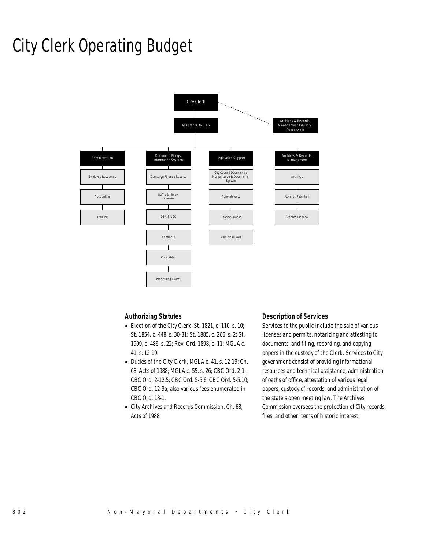## City Clerk Operating Budget



#### *Authorizing Statutes*

- Election of the City Clerk, St. 1821, c. 110, s. 10; St. 1854, c. 448, s. 30-31; St. 1885, c. 266, s. 2; St. 1909, c. 486, s. 22; Rev. Ord. 1898, c. 11; MGLA c. 41, s. 12-19.
- Duties of the City Clerk, MGLA c. 41, s. 12-19; Ch. 68, Acts of 1988; MGLA c. 55, s. 26; CBC Ord. 2-1-; CBC Ord. 2-12.5; CBC Ord. 5-5.6; CBC Ord. 5-5.10; CBC Ord. 12-9a; also various fees enumerated in CBC Ord. 18-1.
- City Archives and Records Commission, Ch. 68, Acts of 1988.

#### *Description of Services*

Services to the public include the sale of various licenses and permits, notarizing and attesting to documents, and filing, recording, and copying papers in the custody of the Clerk. Services to City government consist of providing informational resources and technical assistance, administration of oaths of office, attestation of various legal papers, custody of records, and administration of the state's open meeting law. The Archives Commission oversees the protection of City records, files, and other items of historic interest.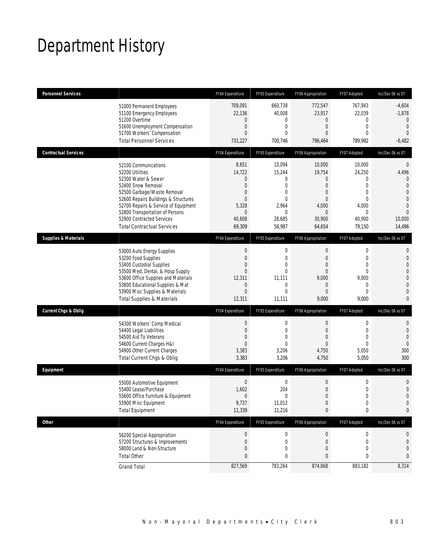## Department History

| <b>Personnel Services</b>       |                                                                                                                                                                                                                                                                                                          | FY04 Expenditure                                                                                                        | FY05 Expenditure                                                                                   | FY06 Appropriation                                                                                                          | FY07 Adopted                                                                               | Inc/Dec 06 vs 07                                                                                                                               |
|---------------------------------|----------------------------------------------------------------------------------------------------------------------------------------------------------------------------------------------------------------------------------------------------------------------------------------------------------|-------------------------------------------------------------------------------------------------------------------------|----------------------------------------------------------------------------------------------------|-----------------------------------------------------------------------------------------------------------------------------|--------------------------------------------------------------------------------------------|------------------------------------------------------------------------------------------------------------------------------------------------|
|                                 | 51000 Permanent Employees<br>51100 Emergency Employees<br>51200 Overtime<br>51600 Unemployment Compensation<br>51700 Workers' Compensation<br><b>Total Personnel Services</b>                                                                                                                            | 709,091<br>22,136<br>$\mathbf 0$<br>$\mathbf{0}$<br>$\mathbf{0}$<br>731,227                                             | 660,738<br>40,008<br>0<br>0<br>$\theta$<br>700,746                                                 | 772.547<br>23,917<br>0<br>$\mathbf{0}$<br>$\Omega$<br>796,464                                                               | 767,943<br>22,039<br>0<br>$\mathbf 0$<br>$\Omega$<br>789,982                               | $-4,604$<br>$-1,878$<br>$\mathbf{0}$<br>$\overline{0}$<br>$\overline{0}$<br>$-6,482$                                                           |
| <b>Contractual Services</b>     |                                                                                                                                                                                                                                                                                                          | FY04 Expenditure                                                                                                        | FY05 Expenditure                                                                                   | FY06 Appropriation                                                                                                          | FY07 Adopted                                                                               | Inc/Dec 06 vs 07                                                                                                                               |
|                                 | 52100 Communications<br>52200 Utilities<br>52300 Water & Sewer<br>52400 Snow Removal<br>52500 Garbage/Waste Removal<br>52600 Repairs Buildings & Structures<br>52700 Repairs & Service of Equipment<br>52800 Transportation of Persons<br>52900 Contracted Services<br><b>Total Contractual Services</b> | 8,651<br>14,722<br>$\boldsymbol{0}$<br>$\mathbf 0$<br>$\theta$<br>$\mathbf{0}$<br>5,328<br>$\theta$<br>40,608<br>69,309 | 10,094<br>15,244<br>0<br>0<br>$\mathbf{0}$<br>$\theta$<br>2,964<br>0<br>28,685<br>56,987           | 10,000<br>19,754<br>$\mathbf{0}$<br>$\mathbf{0}$<br>$\overline{0}$<br>$\mathbf{0}$<br>4,000<br>$\Omega$<br>30,900<br>64,654 | 10,000<br>24,250<br>0<br>$\mathbf 0$<br>0<br>$\mathbf 0$<br>4,000<br>0<br>40,900<br>79,150 | $\mathbf 0$<br>4,496<br>$\overline{0}$<br>$\overline{0}$<br>$\overline{0}$<br>$\overline{0}$<br>$\overline{0}$<br>$\Omega$<br>10,000<br>14,496 |
| <b>Supplies &amp; Materials</b> |                                                                                                                                                                                                                                                                                                          | FY04 Expenditure                                                                                                        | FY05 Expenditure                                                                                   | FY06 Appropriation                                                                                                          | FY07 Adopted                                                                               | Inc/Dec 06 vs 07                                                                                                                               |
|                                 | 53000 Auto Energy Supplies<br>53200 Food Supplies<br>53400 Custodial Supplies<br>53500 Med, Dental, & Hosp Supply<br>53600 Office Supplies and Materials<br>53800 Educational Supplies & Mat<br>53900 Misc Supplies & Materials<br><b>Total Supplies &amp; Materials</b>                                 | $\mathbf 0$<br>$\mathbf{0}$<br>$\mathbf{0}$<br>$\theta$<br>12,311<br>$\theta$<br>$\overline{0}$<br>12,311               | $\boldsymbol{0}$<br>$\mathbf{0}$<br>$\overline{0}$<br>0<br>11,111<br>0<br>$\overline{0}$<br>11,111 | 0<br>$\overline{0}$<br>$\overline{0}$<br>$\overline{0}$<br>9,000<br>$\mathbf{0}$<br>$\Omega$<br>9,000                       | $\boldsymbol{0}$<br>$\mathbf 0$<br>0<br>0<br>9,000<br>0<br>$\Omega$<br>9,000               | $\mathbf 0$<br>$\mathbf{0}$<br>$\mathbf{0}$<br>$\mathbf 0$<br>$\overline{0}$<br>$\mathbf{0}$<br>$\mathbf{0}$<br>$\mathbf{0}$                   |
| <b>Current Chgs &amp; Oblig</b> |                                                                                                                                                                                                                                                                                                          | FY04 Expenditure                                                                                                        | FY05 Expenditure                                                                                   | FY06 Appropriation                                                                                                          | FY07 Adopted                                                                               | Inc/Dec 06 vs 07                                                                                                                               |
|                                 | 54300 Workers' Comp Medical<br>54400 Legal Liabilities<br>54500 Aid To Veterans<br>54600 Current Charges H&I<br>54900 Other Current Charges<br>Total Current Chgs & Oblig                                                                                                                                | $\mathbf 0$<br>$\mathbf{0}$<br>$\theta$<br>$\mathbf{0}$<br>3,383<br>3,383                                               | $\mathbf 0$<br>$\mathbf{0}$<br>$\theta$<br>$\theta$<br>3,206<br>3,206                              | 0<br>$\boldsymbol{0}$<br>$\Omega$<br>$\Omega$<br>4,750<br>4,750                                                             | 0<br>$\mathbf 0$<br>$\Omega$<br>$\Omega$<br>5,050<br>5,050                                 | 0<br>$\mathbf{0}$<br>$\overline{0}$<br>$\overline{0}$<br>300<br>300                                                                            |
| Equipment                       |                                                                                                                                                                                                                                                                                                          | FY04 Expenditure                                                                                                        | FY05 Expenditure                                                                                   | FY06 Appropriation                                                                                                          | FY07 Adopted                                                                               | Inc/Dec 06 vs 07                                                                                                                               |
|                                 | 55000 Automotive Equipment<br>55400 Lease/Purchase<br>55600 Office Furniture & Equipment<br>55900 Misc Equipment<br><b>Total Equipment</b>                                                                                                                                                               | $\boldsymbol{0}$<br>1,602<br>$\Omega$<br>9,737<br>11,339                                                                | 0<br>204<br>$\Omega$<br>11,012<br>11,216                                                           | 0<br>$\boldsymbol{0}$<br>$\Omega$<br>$\boldsymbol{0}$<br>0                                                                  | 0<br>0<br>0<br>$\boldsymbol{0}$<br>0                                                       | $\mathbf 0$<br>$\overline{0}$<br>$\Omega$<br>$\mathbf{0}$<br>0                                                                                 |
| Other                           |                                                                                                                                                                                                                                                                                                          | FY04 Expenditure                                                                                                        | FY05 Expenditure                                                                                   | FY06 Appropriation                                                                                                          | FY07 Adopted                                                                               | Inc/Dec 06 vs 07                                                                                                                               |
|                                 | 56200 Special Appropriation<br>57200 Structures & Improvements<br>58000 Land & Non-Structure<br><b>Total Other</b>                                                                                                                                                                                       | $\boldsymbol{0}$<br>$\mathbf 0$<br>$\mathbf 0$<br>$\pmb{0}$                                                             | $\boldsymbol{0}$<br>$\mathbf 0$<br>0<br>0                                                          | $\boldsymbol{0}$<br>0<br>0<br>0                                                                                             | $\boldsymbol{0}$<br>0<br>0<br>0                                                            | 0<br>0<br>$\mathbf{0}$<br>0                                                                                                                    |
|                                 | <b>Grand Total</b>                                                                                                                                                                                                                                                                                       | 827,569                                                                                                                 | 783,264                                                                                            | 874,868                                                                                                                     | 883,182                                                                                    | 8,314                                                                                                                                          |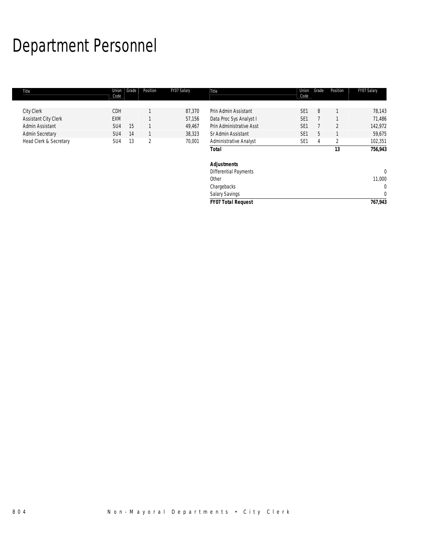# Department Personnel

| Title                       | Union<br>Code   | Grade | Position | FY07 Salary | Title                           | Union<br>Code   | Grade | Position       | FY07 Salary  |
|-----------------------------|-----------------|-------|----------|-------------|---------------------------------|-----------------|-------|----------------|--------------|
|                             |                 |       |          |             |                                 |                 |       |                |              |
| City Clerk                  | CDH             |       |          | 87,370      | Prin Admin Assistant            | SE <sub>1</sub> | 8     |                | 78,143       |
| <b>Assistant City Clerk</b> | <b>EXM</b>      |       |          | 57,156      | Data Proc Sys Analyst I         | SE <sub>1</sub> |       |                | 71,486       |
| Admin Assistant             | SU <sub>4</sub> | 15    |          | 49,467      | <b>Prin Administrative Asst</b> | SE <sub>1</sub> |       | $\overline{2}$ | 142,972      |
| <b>Admin Secretary</b>      | SU <sub>4</sub> | 14    |          | 38,323      | Sr Admin Assistant              | SE <sub>1</sub> | 5     |                | 59,675       |
| Head Clerk & Secretary      | SU <sub>4</sub> | 13    | 2        | 70,001      | Administrative Analyst          | SE <sub>1</sub> | 4     | $\overline{2}$ | 102,351      |
|                             |                 |       |          |             | <b>Total</b>                    |                 |       | 13             | 756,943      |
|                             |                 |       |          |             | <b>Adjustments</b>              |                 |       |                |              |
|                             |                 |       |          |             | <b>Differential Payments</b>    |                 |       |                | $\mathbf 0$  |
|                             |                 |       |          |             | Other                           |                 |       |                | 11,000       |
|                             |                 |       |          |             | Chargebacks                     |                 |       |                | $\mathbf{0}$ |
|                             |                 |       |          |             | Salary Savings                  |                 |       |                | $\mathbf 0$  |
|                             |                 |       |          |             | <b>FY07 Total Request</b>       |                 |       |                | 767,943      |

804 Non-Mayoral Departments • City Clerk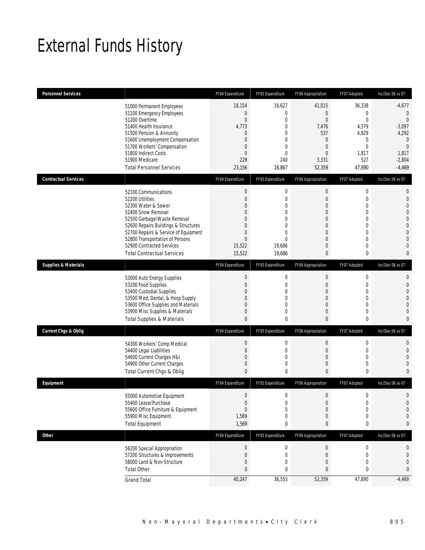## External Funds History

| <b>Personnel Services</b>       |                                                                                                                                                                                                                                                                                                          | FY04 Expenditure                                                                                                                   | FY05 Expenditure                                                                                                                                 | FY06 Appropriation                                                                                                                        | FY07 Adopted                                                                                                                                  | Inc/Dec 06 vs 07                                                                                                                                                     |
|---------------------------------|----------------------------------------------------------------------------------------------------------------------------------------------------------------------------------------------------------------------------------------------------------------------------------------------------------|------------------------------------------------------------------------------------------------------------------------------------|--------------------------------------------------------------------------------------------------------------------------------------------------|-------------------------------------------------------------------------------------------------------------------------------------------|-----------------------------------------------------------------------------------------------------------------------------------------------|----------------------------------------------------------------------------------------------------------------------------------------------------------------------|
|                                 | 51000 Permanent Employees<br>51100 Emergency Employees<br>51200 Overtime<br>51400 Health Insurance<br>51500 Pension & Annunity<br>51600 Unemployment Compensation<br>51700 Workers' Compensation<br>51800 Indirect Costs<br>51900 Medicare<br><b>Total Personnel Services</b>                            | 18,154<br>$\overline{0}$<br>$\overline{0}$<br>4,773<br>0<br>$\overline{0}$<br>$\Omega$<br>$\mathbf{0}$<br>229<br>23,156            | 16,627<br>$\mathbf 0$<br>$\mathbf{0}$<br>$\mathbf{0}$<br>$\mathbf{0}$<br>$\mathbf{0}$<br>$\mathbf{0}$<br>$\mathbf{0}$<br>240<br>16,867           | 41,015<br>$\boldsymbol{0}$<br>$\overline{0}$<br>7,476<br>537<br>$\boldsymbol{0}$<br>$\boldsymbol{0}$<br>$\mathbf{0}$<br>3,331<br>52,359   | 36,338<br>$\overline{0}$<br>$\overline{0}$<br>4,379<br>4,829<br>0<br>$\mathbf 0$<br>1,817<br>527<br>47,890                                    | $-4,677$<br>$\mathbf 0$<br>$\mathbf{0}$<br>$-3,097$<br>4,292<br>$\overline{0}$<br>$\mathbf{0}$<br>1,817<br>$-2,804$<br>$-4,469$                                      |
| <b>Contractual Services</b>     |                                                                                                                                                                                                                                                                                                          | FY04 Expenditure                                                                                                                   | FY05 Expenditure                                                                                                                                 | FY06 Appropriation                                                                                                                        | FY07 Adopted                                                                                                                                  | Inc/Dec 06 vs 07                                                                                                                                                     |
|                                 | 52100 Communications<br>52200 Utilities<br>52300 Water & Sewer<br>52400 Snow Removal<br>52500 Garbage/Waste Removal<br>52600 Repairs Buildings & Structures<br>52700 Repairs & Service of Equipment<br>52800 Transportation of Persons<br>52900 Contracted Services<br><b>Total Contractual Services</b> | $\mathbf 0$<br>$\mathbf{0}$<br>0<br>$\Omega$<br>$\overline{0}$<br>$\Omega$<br>$\overline{0}$<br>$\overline{0}$<br>15,522<br>15,522 | $\mathbf 0$<br>$\mathbf 0$<br>$\mathbf{0}$<br>$\mathbf{0}$<br>$\mathbf{0}$<br>$\mathbf{0}$<br>$\mathbf{0}$<br>$\overline{0}$<br>19,686<br>19,686 | $\boldsymbol{0}$<br>$\boldsymbol{0}$<br>0<br>$\mathbf{0}$<br>$\mathbf{0}$<br>0<br>$\mathbf{0}$<br>$\overline{0}$<br>$\boldsymbol{0}$<br>0 | $\mathbf 0$<br>$\mathbf 0$<br>0<br>$\overline{0}$<br>$\overline{0}$<br>$\overline{0}$<br>$\overline{0}$<br>$\overline{0}$<br>$\mathbf 0$<br>0 | $\mathbf 0$<br>$\mathbf 0$<br>$\mathbf{0}$<br>$\overline{0}$<br>$\overline{0}$<br>$\overline{0}$<br>$\overline{0}$<br>$\overline{0}$<br>$\mathbf{0}$<br>$\mathbf{0}$ |
| <b>Supplies &amp; Materials</b> |                                                                                                                                                                                                                                                                                                          | FY04 Expenditure                                                                                                                   | FY05 Expenditure                                                                                                                                 | FY06 Appropriation                                                                                                                        | FY07 Adopted                                                                                                                                  | Inc/Dec 06 vs 07                                                                                                                                                     |
|                                 | 53000 Auto Energy Supplies<br>53200 Food Supplies<br>53400 Custodial Supplies<br>53500 Med, Dental, & Hosp Supply<br>53600 Office Supplies and Materials<br>53900 Misc Supplies & Materials<br><b>Total Supplies &amp; Materials</b>                                                                     | $\theta$<br>$\mathbf{0}$<br>$\Omega$<br>0<br>$\overline{0}$<br>$\overline{0}$<br>$\mathbf{0}$                                      | $\mathbf 0$<br>$\mathbf{0}$<br>$\mathbf{0}$<br>$\mathbf{0}$<br>$\mathbf{0}$<br>$\mathbf{0}$<br>$\mathbf 0$                                       | $\boldsymbol{0}$<br>$\boldsymbol{0}$<br>$\boldsymbol{0}$<br>$\boldsymbol{0}$<br>0<br>$\boldsymbol{0}$<br>$\mathbf{0}$                     | $\mathbf 0$<br>$\overline{0}$<br>$\overline{0}$<br>$\mathbf 0$<br>$\overline{0}$<br>$\mathbf 0$<br>0                                          | $\mathbf 0$<br>$\overline{0}$<br>$\overline{0}$<br>$\overline{0}$<br>$\overline{0}$<br>$\theta$<br>$\mathbf 0$                                                       |
| <b>Current Chgs &amp; Oblig</b> |                                                                                                                                                                                                                                                                                                          | FY04 Expenditure                                                                                                                   | FY05 Expenditure                                                                                                                                 | FY06 Appropriation                                                                                                                        | FY07 Adopted                                                                                                                                  | Inc/Dec 06 vs 07                                                                                                                                                     |
|                                 | 54300 Workers' Comp Medical<br>54400 Legal Liabilities<br>54600 Current Charges H&I<br>54900 Other Current Charges<br>Total Current Chgs & Oblig                                                                                                                                                         | $\theta$<br>$\overline{0}$<br>$\mathbf 0$<br>$\mathbf{0}$<br>$\mathbf{0}$                                                          | $\mathbf 0$<br>$\mathbf 0$<br>$\mathbf 0$<br>$\mathbf{0}$<br>$\mathbf 0$                                                                         | $\mathbf 0$<br>$\boldsymbol{0}$<br>$\boldsymbol{0}$<br>0<br>0                                                                             | 0<br>$\mathbf 0$<br>$\mathbf 0$<br>$\overline{0}$<br>0                                                                                        | $\mathbf{0}$<br>$\mathbf{0}$<br>$\overline{0}$<br>$\overline{0}$<br>$\mathbf{0}$                                                                                     |
| Equipment                       |                                                                                                                                                                                                                                                                                                          | FY04 Expenditure                                                                                                                   | FY05 Expenditure                                                                                                                                 | FY06 Appropriation                                                                                                                        | FY07 Adopted                                                                                                                                  | Inc/Dec 06 vs 07                                                                                                                                                     |
|                                 | 55000 Automotive Equipment<br>55400 Lease/Purchase<br>55600 Office Furniture & Equipment<br>55900 Misc Equipment<br><b>Total Equipment</b>                                                                                                                                                               | $\mathbf{0}$<br>$\mathbf{0}$<br>$\overline{0}$<br>1,569<br>1,569                                                                   | 0<br>$\mathbf 0$<br>$\mathbf{0}$<br>$\mathbf{0}$<br>0                                                                                            | $\boldsymbol{0}$<br>$\boldsymbol{0}$<br>0<br>0<br>0                                                                                       | 0<br>$\mathbf 0$<br>$\overline{0}$<br>0<br>0                                                                                                  | $\Omega$<br>$\mathbf 0$<br>$\Omega$<br>$\mathbf{0}$                                                                                                                  |
| <b>Other</b>                    |                                                                                                                                                                                                                                                                                                          | FY04 Expenditure                                                                                                                   | FY05 Expenditure                                                                                                                                 | FY06 Appropriation                                                                                                                        | FY07 Adopted                                                                                                                                  | Inc/Dec 06 vs 07                                                                                                                                                     |
|                                 | 56200 Special Appropriation<br>57200 Structures & Improvements<br>58000 Land & Non-Structure<br><b>Total Other</b>                                                                                                                                                                                       | $\theta$<br>$\mathbf{0}$<br>$\mathbf{0}$<br>$\mathbf{0}$                                                                           | $\mathbf 0$<br>$\mathbf 0$<br>0<br>0                                                                                                             | $\boldsymbol{0}$<br>$\mathbf 0$<br>0<br>0                                                                                                 | $\boldsymbol{0}$<br>$\mathbf 0$<br>0<br>0                                                                                                     | $\mathbf 0$<br>0<br>$\theta$<br>$\mathbf{0}$                                                                                                                         |
|                                 | <b>Grand Total</b>                                                                                                                                                                                                                                                                                       | 40,247                                                                                                                             | 36,553                                                                                                                                           | 52,359                                                                                                                                    | 47,890                                                                                                                                        | $-4,469$                                                                                                                                                             |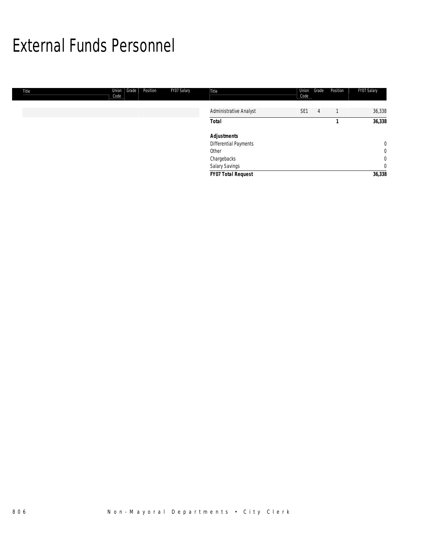## External Funds Personnel

| Title | Union<br>Grade<br>Position<br>Code | FY07 Salary | Title                  | Union<br>Code   | Grade | Position | FY07 Salary    |
|-------|------------------------------------|-------------|------------------------|-----------------|-------|----------|----------------|
|       |                                    |             | Administrative Analyst | SE <sub>1</sub> | 4     |          | 36,338         |
|       |                                    |             | <b>Total</b>           |                 |       |          | 36,338         |
|       |                                    |             | <b>Adjustments</b>     |                 |       |          |                |
|       |                                    |             | Differential Payments  |                 |       |          | $\overline{0}$ |
|       |                                    |             | Other                  |                 |       |          | $\overline{0}$ |
|       |                                    |             | Chargebacks            |                 |       |          | $\overline{0}$ |
|       |                                    |             | Salary Savings         |                 |       |          | $\overline{0}$ |
|       |                                    |             | FY07 Total Request     |                 |       |          | 36,338         |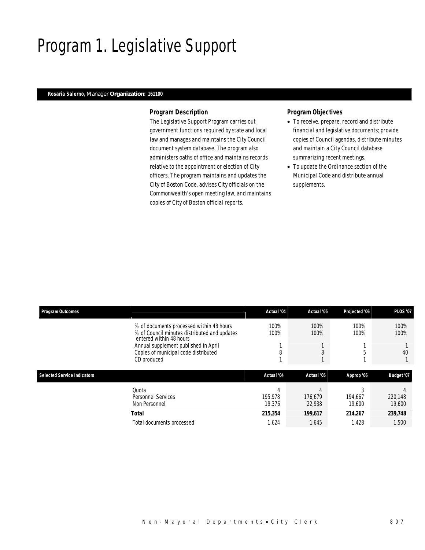## Program 1. Legislative Support

### *Rosaria Salerno, Manager Organization: 161100*

#### *Program Description*

The Legislative Support Program carries out government functions required by state and local law and manages and maintains the City Council document system database. The program also administers oaths of office and maintains records relative to the appointment or election of City officers. The program maintains and updates the City of Boston Code, advises City officials on the Commonwealth's open meeting law, and maintains copies of City of Boston official reports.

#### *Program Objectives*

- To receive, prepare, record and distribute financial and legislative documents; provide copies of Council agendas, distribute minutes and maintain a City Council database summarizing recent meetings.
- To update the Ordinance section of the Municipal Code and distribute annual supplements.

| <b>Program Outcomes</b>            |                                                                                                                     | Actual '04             | Actual '05             | Projected '06     | <b>PLOS '07</b>   |
|------------------------------------|---------------------------------------------------------------------------------------------------------------------|------------------------|------------------------|-------------------|-------------------|
|                                    | % of documents processed within 48 hours<br>% of Council minutes distributed and updates<br>entered within 48 hours | 100%<br>100%           | 100%<br>100%           | 100%<br>100%      | 100%<br>100%      |
|                                    | Annual supplement published in April<br>Copies of municipal code distributed                                        | 8                      | 8                      |                   | 40                |
|                                    | CD produced                                                                                                         |                        |                        |                   |                   |
| <b>Selected Service Indicators</b> |                                                                                                                     | Actual '04             | Actual '05             | Approp '06        | Budget '07        |
|                                    | Ouota<br><b>Personnel Services</b><br>Non Personnel                                                                 | 4<br>195.978<br>19.376 | 4<br>176.679<br>22,938 | 194.667<br>19,600 | 220,148<br>19,600 |
|                                    | <b>Total</b>                                                                                                        | 215,354                | 199,617                | 214,267           | 239,748           |
|                                    | Total documents processed                                                                                           | 1,624                  | 1,645                  | 1,428             | 1,500             |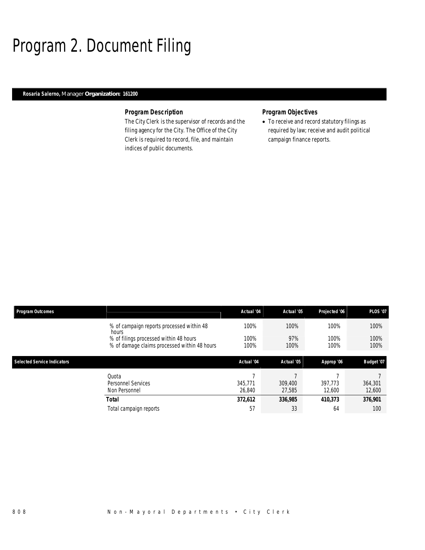## Program 2. Document Filing

### *Rosaria Salerno, Manager Organization: 161200*

#### *Program Description*

The City Clerk is the supervisor of records and the filing agency for the City. The Office of the City Clerk is required to record, file, and maintain indices of public documents.

### *Program Objectives*

• To receive and record statutory filings as required by law; receive and audit political campaign finance reports.

| <b>Program Outcomes</b>            |                                                                                        | Actual '04        | Actual '05        | Projected '06     | <b>PLOS '07</b>   |
|------------------------------------|----------------------------------------------------------------------------------------|-------------------|-------------------|-------------------|-------------------|
|                                    | % of campaign reports processed within 48<br>hours                                     | 100%              | 100%              | 100%              | 100%              |
|                                    | % of filings processed within 48 hours<br>% of damage claims processed within 48 hours | 100%<br>100%      | 97%<br>100%       | 100%<br>100%      | 100%<br>100%      |
| <b>Selected Service Indicators</b> |                                                                                        | Actual '04        | Actual '05        | Approp '06        | Budget '07        |
|                                    | Ouota<br><b>Personnel Services</b><br>Non Personnel                                    | 345.771<br>26.840 | 309,400<br>27.585 | 397.773<br>12,600 | 364,301<br>12,600 |
|                                    | Total                                                                                  | 372.612           | 336,985           | 410.373           | 376.901           |
|                                    | Total campaign reports                                                                 | 57                | 33                | 64                | 100               |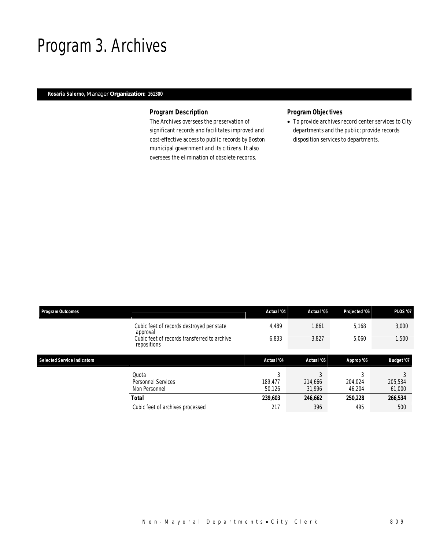### Program 3. Archives

### *Rosaria Salerno, Manager Organization: 161300*

### *Program Description*

The Archives oversees the preservation of significant records and facilitates improved and cost-effective access to public records by Boston municipal government and its citizens. It also oversees the elimination of obsolete records.

### *Program Objectives*

• To provide archives record center services to City departments and the public; provide records disposition services to departments.

| <b>Program Outcomes</b>            |                                                                         | Actual '04             | Actual '05             | Projected '06          | <b>PLOS '07</b>   |
|------------------------------------|-------------------------------------------------------------------------|------------------------|------------------------|------------------------|-------------------|
|                                    | Cubic feet of records destroyed per state                               | 4,489                  | 1,861                  | 5,168                  | 3,000             |
|                                    | approval<br>Cubic feet of records transferred to archive<br>repositions | 6,833                  | 3,827                  | 5,060                  | 1,500             |
| <b>Selected Service Indicators</b> |                                                                         | Actual '04             | Actual '05             | Approp '06             | Budget '07        |
|                                    | Ouota<br>Personnel Services<br>Non Personnel                            | 3<br>189.477<br>50,126 | 3<br>214,666<br>31.996 | 3<br>204.024<br>46.204 | 205,534<br>61,000 |
|                                    | <b>Total</b>                                                            | 239,603                | 246,662                | 250,228                | 266,534           |
|                                    | Cubic feet of archives processed                                        | 217                    | 396                    | 495                    | 500               |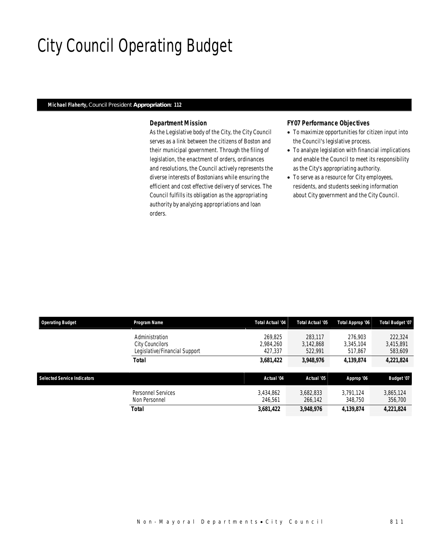# City Council Operating Budget

#### *Michael Flaherty, Council President Appropriation: 112*

#### *Department Mission*

As the Legislative body of the City, the City Council serves as a link between the citizens of Boston and their municipal government. Through the filing of legislation, the enactment of orders, ordinances and resolutions, the Council actively represents the diverse interests of Bostonians while ensuring the efficient and cost effective delivery of services. The Council fulfills its obligation as the appropriating authority by analyzing appropriations and loan orders.

#### *FY07 Performance Objectives*

- To maximize opportunities for citizen input into the Council's legislative process.
- To analyze legislation with financial implications and enable the Council to meet its responsibility as the City's appropriating authority.
- To serve as a resource for City employees, residents, and students seeking information about City government and the City Council.

| <b>Operating Budget</b>            | Program Name                                                       | <b>Total Actual '04</b>         | <b>Total Actual '05</b>         | Total Approp '06                | <b>Total Budget '07</b>         |
|------------------------------------|--------------------------------------------------------------------|---------------------------------|---------------------------------|---------------------------------|---------------------------------|
|                                    | Administration<br>City Councilors<br>Legislative/Financial Support | 269.825<br>2.984.260<br>427.337 | 283.117<br>3,142,868<br>522,991 | 276.903<br>3,345,104<br>517.867 | 222,324<br>3,415,891<br>583,609 |
|                                    | Total                                                              | 3,681,422                       | 3,948,976                       | 4,139,874                       | 4,221,824                       |
| <b>Selected Service Indicators</b> |                                                                    | Actual '04                      | Actual '05                      | Approp '06                      | Budget '07                      |
|                                    | Personnel Services<br>Non Personnel                                | 3,434,862<br>246.561            | 3,682,833<br>266.142            | 3.791.124<br>348.750            | 3,865,124<br>356,700            |
|                                    | <b>Total</b>                                                       | 3,681,422                       | 3,948,976                       | 4,139,874                       | 4,221,824                       |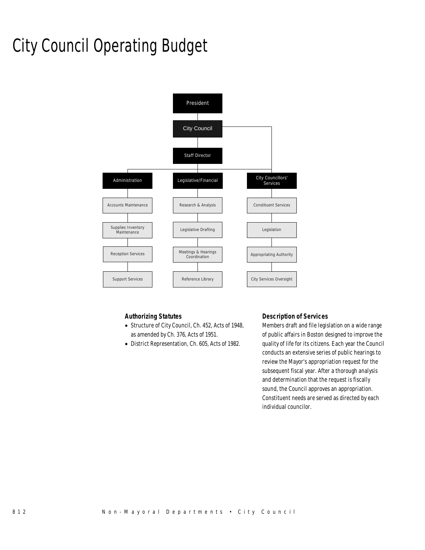# City Council Operating Budget



### *Authorizing Statutes*

- Structure of City Council, Ch. 452, Acts of 1948, as amended by Ch. 376, Acts of 1951.
- District Representation, Ch. 605, Acts of 1982.

### *Description of Services*

Members draft and file legislation on a wide range of public affairs in Boston designed to improve the quality of life for its citizens. Each year the Council conducts an extensive series of public hearings to review the Mayor's appropriation request for the subsequent fiscal year. After a thorough analysis and determination that the request is fiscally sound, the Council approves an appropriation. Constituent needs are served as directed by each individual councilor.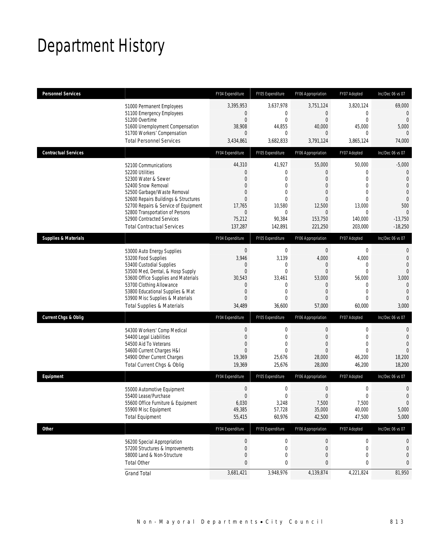# Department History

| <b>Personnel Services</b>       |                                       | FY04 Expenditure | FY05 Expenditure | FY06 Appropriation | FY07 Adopted   | Inc/Dec 06 vs 07 |
|---------------------------------|---------------------------------------|------------------|------------------|--------------------|----------------|------------------|
|                                 | 51000 Permanent Employees             | 3,395,953        | 3,637,978        | 3,751,124          | 3,820,124      | 69,000           |
|                                 | 51100 Emergency Employees             | $\mathbf 0$      | $\mathbf{0}$     | $\boldsymbol{0}$   | $\mathbf{0}$   | 0                |
|                                 | 51200 Overtime                        | $\mathbf{0}$     | $\mathbf{0}$     | $\mathbf{0}$       | $\mathbf 0$    | $\mathbf{0}$     |
|                                 | 51600 Unemployment Compensation       | 38,908           | 44,855           | 40,000             | 45,000         | 5,000            |
|                                 | 51700 Workers' Compensation           | $\mathbf{0}$     | $\theta$         | $\overline{0}$     | $\theta$       | 0                |
|                                 | <b>Total Personnel Services</b>       | 3,434,861        | 3,682,833        | 3,791,124          | 3,865,124      | 74,000           |
| <b>Contractual Services</b>     |                                       | FY04 Expenditure | FY05 Expenditure | FY06 Appropriation | FY07 Adopted   | Inc/Dec 06 vs 07 |
|                                 | 52100 Communications                  | 44,310           | 41,927           | 55,000             | 50,000         | $-5,000$         |
|                                 | 52200 Utilities                       | $\mathbf{0}$     | $\mathbf{0}$     | 0                  | $\mathbf 0$    | 0                |
|                                 | 52300 Water & Sewer                   | $\Omega$         | $\theta$         | $\overline{0}$     | $\theta$       | $\Omega$         |
|                                 | 52400 Snow Removal                    | $\mathbf{0}$     | $\overline{0}$   | $\overline{0}$     | $\overline{0}$ | $\overline{0}$   |
|                                 | 52500 Garbage/Waste Removal           | $\Omega$         | $\theta$         | $\mathbf{0}$       | $\overline{0}$ | $\overline{0}$   |
|                                 | 52600 Repairs Buildings & Structures  | $\Omega$         | $\theta$         | $\overline{0}$     | $\overline{0}$ | $\mathbf{0}$     |
|                                 | 52700 Repairs & Service of Equipment  | 17,765           | 10,580           | 12,500             | 13,000         | 500              |
|                                 | 52800 Transportation of Persons       | $\mathbf{0}$     | $\mathbf{0}$     | $\overline{0}$     | $\theta$       | 0                |
|                                 | 52900 Contracted Services             | 75,212           | 90,384           | 153,750            | 140,000        | $-13,750$        |
|                                 | <b>Total Contractual Services</b>     | 137,287          | 142,891          | 221,250            | 203,000        | $-18,250$        |
| <b>Supplies &amp; Materials</b> |                                       | FY04 Expenditure | FY05 Expenditure | FY06 Appropriation | FY07 Adopted   | Inc/Dec 06 vs 07 |
|                                 | 53000 Auto Energy Supplies            | $\boldsymbol{0}$ | $\mathbf 0$      | $\theta$           | 0              | 0                |
|                                 | 53200 Food Supplies                   | 3,946            | 3,139            | 4,000              | 4,000          | 0                |
|                                 | 53400 Custodial Supplies              | $\mathbf{0}$     | $\mathbf{0}$     | 0                  | $\mathbf 0$    | $\Omega$         |
|                                 | 53500 Med, Dental, & Hosp Supply      | $\mathbf{0}$     | $\mathbf{0}$     | $\mathbf{0}$       | $\mathbf{0}$   | 0                |
|                                 | 53600 Office Supplies and Materials   | 30,543           | 33,461           | 53,000             | 56,000         | 3,000            |
|                                 | 53700 Clothing Allowance              | $\mathbf{0}$     | $\mathbf{0}$     | $\overline{0}$     | 0              | $\theta$         |
|                                 | 53800 Educational Supplies & Mat      | $\mathbf{0}$     | $\mathbf{0}$     | $\mathbf{0}$       | $\mathbf 0$    | $\Omega$         |
|                                 | 53900 Misc Supplies & Materials       | $\mathbf{0}$     | $\mathbf{0}$     | $\overline{0}$     | $\overline{0}$ | $\Omega$         |
|                                 | <b>Total Supplies &amp; Materials</b> | 34,489           | 36,600           | 57,000             | 60,000         | 3,000            |
| <b>Current Chgs &amp; Oblig</b> |                                       | FY04 Expenditure | FY05 Expenditure | FY06 Appropriation | FY07 Adopted   | Inc/Dec 06 vs 07 |
|                                 | 54300 Workers' Comp Medical           | $\mathbf 0$      | $\mathbf{0}$     | $\boldsymbol{0}$   | $\mathbf 0$    | 0                |
|                                 | 54400 Legal Liabilities               | $\mathbf{0}$     | $\mathbf{0}$     | $\mathbf{0}$       | $\overline{0}$ | $\overline{0}$   |
|                                 | 54500 Aid To Veterans                 | $\mathbf{0}$     | $\overline{0}$   | $\overline{0}$     | $\overline{0}$ | $\Omega$         |
|                                 | 54600 Current Charges H&I             | $\Omega$         | $\theta$         | $\Omega$           | $\Omega$       | $\Omega$         |
|                                 | 54900 Other Current Charges           | 19,369           | 25,676           | 28,000             | 46,200         | 18,200           |
|                                 | Total Current Chgs & Oblig            | 19,369           | 25,676           | 28,000             | 46,200         | 18,200           |
| Equipment                       |                                       | FY04 Expenditure | FY05 Expenditure | FY06 Appropriation | FY07 Adopted   | Inc/Dec 06 vs 07 |
|                                 | 55000 Automotive Equipment            | $\boldsymbol{0}$ | $\mathbf 0$      | $\boldsymbol{0}$   | $\mathbf 0$    | 0                |
|                                 | 55400 Lease/Purchase                  | $\mathbf{0}$     | $\overline{0}$   | $\overline{0}$     | $\Omega$       | $\overline{0}$   |
|                                 | 55600 Office Furniture & Equipment    | 6,030            | 3,248            | 7,500              | 7,500          | $\mathbf 0$      |
|                                 | 55900 Misc Equipment                  | 49,385           | 57,728           | 35,000             | 40,000         | 5,000            |
|                                 | <b>Total Equipment</b>                | 55,415           | 60,976           | 42,500             | 47,500         | 5,000            |
| <b>Other</b>                    |                                       | FY04 Expenditure | FY05 Expenditure | FY06 Appropriation | FY07 Adopted   | Inc/Dec 06 vs 07 |
|                                 | 56200 Special Appropriation           | $\boldsymbol{0}$ | $\boldsymbol{0}$ | 0                  | 0              | 0                |
|                                 | 57200 Structures & Improvements       | $\boldsymbol{0}$ | $\mathbf 0$      | $\boldsymbol{0}$   | 0              | 0                |
|                                 | 58000 Land & Non-Structure            | $\mathbf{0}$     | $\mathbf 0$      | 0                  | 0              | 0                |
|                                 | <b>Total Other</b>                    | $\bf{0}$         | 0                | 0                  | 0              | 0                |
|                                 | <b>Grand Total</b>                    | 3,681,421        | 3,948,976        | 4,139,874          | 4,221,824      | 81,950           |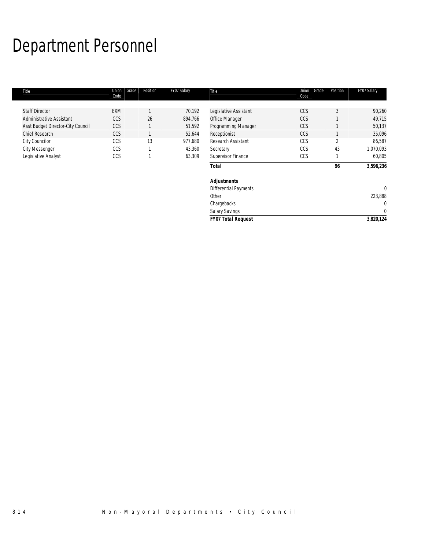# Department Personnel

| Title                             | Union<br>Grade<br>Code | Position | FY07 Salary | Title                        | Union<br>Grade<br>Code | Position | FY07 Salary |
|-----------------------------------|------------------------|----------|-------------|------------------------------|------------------------|----------|-------------|
|                                   |                        |          |             |                              |                        |          |             |
| <b>Staff Director</b>             | <b>EXM</b>             |          | 70,192      | Legislative Assistant        | <b>CCS</b>             | 3        | 90,260      |
| Administrative Assistant          | CCS                    | 26       | 894,766     | Office Manager               | CCS                    |          | 49,715      |
| Asst Budget Director-City Council | CCS                    |          | 51,592      | Programming Manager          | CCS                    |          | 50,137      |
| Chief Research                    | CCS                    |          | 52,644      | Receptionist                 | <b>CCS</b>             |          | 35,096      |
| City Councilor                    | CCS                    | 13       | 977,680     | Research Assistant           | CCS                    | 2        | 86,587      |
| <b>City Messenger</b>             | CCS                    |          | 43,360      | Secretary                    | CCS                    | 43       | 1,070,093   |
| Legislative Analyst               | CCS                    |          | 63,309      | Supervisor Finance           | CCS                    |          | 60,805      |
|                                   |                        |          |             | <b>Total</b>                 |                        | 96       | 3,596,236   |
|                                   |                        |          |             | <b>Adjustments</b>           |                        |          |             |
|                                   |                        |          |             | <b>Differential Payments</b> |                        |          | $\theta$    |
|                                   |                        |          |             | Other                        |                        |          | 223,888     |
|                                   |                        |          |             | Chargebacks                  |                        |          | $\Omega$    |
|                                   |                        |          |             | <b>Salary Savings</b>        |                        |          | $\Omega$    |
|                                   |                        |          |             | <b>FY07 Total Request</b>    |                        |          | 3,820,124   |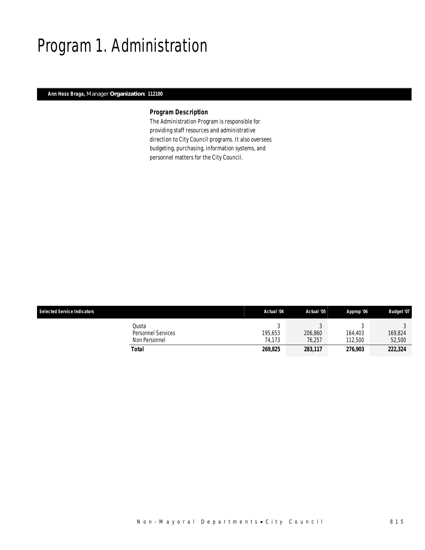## Program 1. Administration

### *Ann Hess Braga, Manager Organization: 112100*

### *Program Description*

The Administration Program is responsible for providing staff resources and administrative direction to City Council programs. It also oversees budgeting, purchasing, information systems, and personnel matters for the City Council.

| <b>Selected Service Indicators</b> |                                              | Actual '04        | Actual '05        | Approp '06         | <b>Budget '07</b> |
|------------------------------------|----------------------------------------------|-------------------|-------------------|--------------------|-------------------|
|                                    | Quota<br>Personnel Services<br>Non Personnel | 195.653<br>74.173 | 206,860<br>76,257 | 164,403<br>112.500 | 169,824<br>52,500 |
|                                    | Total                                        | 269,825           | 283,117           | 276.903            | 222,324           |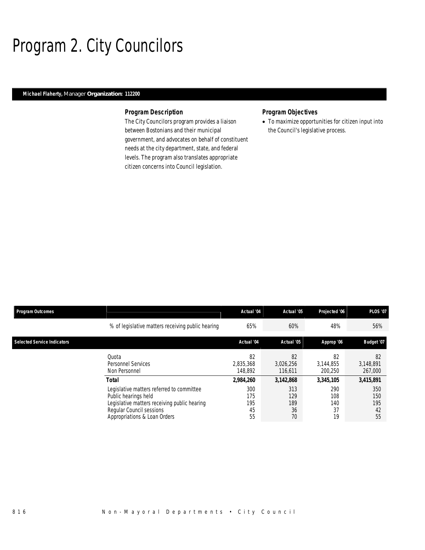## Program 2. City Councilors

### *Michael Flaherty, Manager Organization: 112200*

#### *Program Description*

The City Councilors program provides a liaison between Bostonians and their municipal government, and advocates on behalf of constituent needs at the city department, state, and federal levels. The program also translates appropriate citizen concerns into Council legislation.

#### *Program Objectives*

• To maximize opportunities for citizen input into the Council's legislative process.

| <b>Program Outcomes</b>            |                                                                                                                                                                                        | Actual '04                                 | Actual '05                                 | Projected '06                              | <b>PLOS '07</b>                            |
|------------------------------------|----------------------------------------------------------------------------------------------------------------------------------------------------------------------------------------|--------------------------------------------|--------------------------------------------|--------------------------------------------|--------------------------------------------|
|                                    | % of legislative matters receiving public hearing                                                                                                                                      | 65%                                        | 60%                                        | 48%                                        | 56%                                        |
| <b>Selected Service Indicators</b> |                                                                                                                                                                                        | Actual '04                                 | Actual '05                                 | Approp '06                                 | Budget '07                                 |
|                                    | Quota<br>Personnel Services<br>Non Personnel                                                                                                                                           | 82<br>2,835,368<br>148.892                 | 82<br>3,026,256<br>116,611                 | 82<br>3,144,855<br>200,250                 | 82<br>3,148,891<br>267,000                 |
|                                    | Total<br>Legislative matters referred to committee<br>Public hearings held<br>Legislative matters receiving public hearing<br>Regular Council sessions<br>Appropriations & Loan Orders | 2,984,260<br>300<br>175<br>195<br>45<br>55 | 3,142,868<br>313<br>129<br>189<br>36<br>70 | 3,345,105<br>290<br>108<br>140<br>37<br>19 | 3,415,891<br>350<br>150<br>195<br>42<br>55 |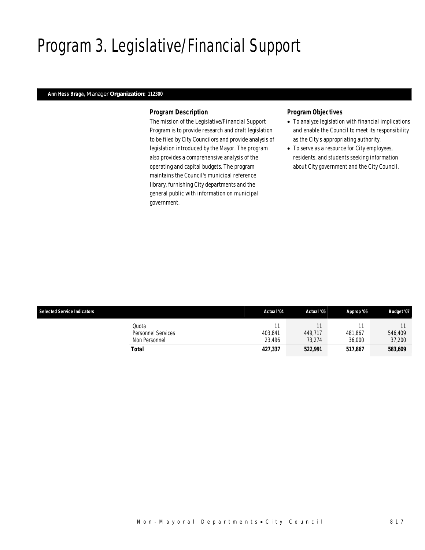# Program 3. Legislative/Financial Support

### *Ann Hess Braga, Manager Organization: 112300*

### *Program Description*

The mission of the Legislative/Financial Support Program is to provide research and draft legislation to be filed by City Councilors and provide analysis of legislation introduced by the Mayor. The program also provides a comprehensive analysis of the operating and capital budgets. The program maintains the Council's municipal reference library, furnishing City departments and the general public with information on municipal government.

#### *Program Objectives*

- To analyze legislation with financial implications and enable the Council to meet its responsibility as the City's appropriating authority.
- To serve as a resource for City employees, residents, and students seeking information about City government and the City Council.

| <b>Selected Service Indicators</b> |                                                     | Actual '04        | Actual '05        | Approp '06        | <b>Budget '07</b> |
|------------------------------------|-----------------------------------------------------|-------------------|-------------------|-------------------|-------------------|
|                                    | Quota<br><b>Personnel Services</b><br>Non Personnel | 403,841<br>23.496 | 449.717<br>73.274 | 481.867<br>36,000 | 546.409<br>37,200 |
|                                    | Total                                               | 427,337           | 522,991           | 517.867           | 583,609           |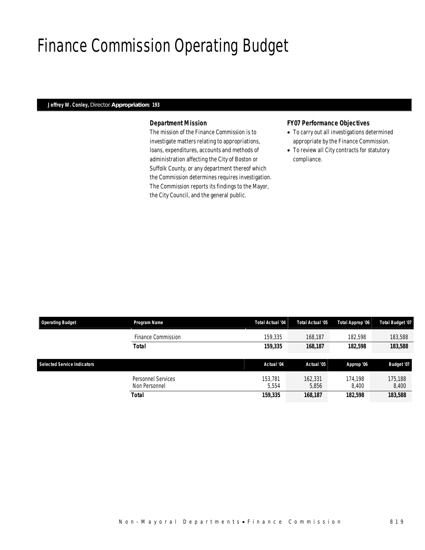## Finance Commission Operating Budget

### *Jeffrey W. Conley, Director Appropriation: 193*

#### *Department Mission*

The mission of the Finance Commission is to investigate matters relating to appropriations, loans, expenditures, accounts and methods of administration affecting the City of Boston or Suffolk County, or any department thereof which the Commission determines requires investigation. The Commission reports its findings to the Mayor, the City Council, and the general public.

#### *FY07 Performance Objectives*

- To carry out all investigations determined appropriate by the Finance Commission.
- To review all City contracts for statutory compliance.

| <b>Operating Budget</b>            | Program Name              | Total Actual '04 | Total Actual '05 | Total Approp '06 | <b>Total Budget '07</b> |
|------------------------------------|---------------------------|------------------|------------------|------------------|-------------------------|
|                                    | Finance Commission        | 159,335          | 168.187          | 182.598          | 183,588                 |
|                                    | Total                     | 159,335          | 168,187          | 182,598          | 183,588                 |
| <b>Selected Service Indicators</b> |                           | Actual '04       | Actual '05       | Approp '06       | Budget '07              |
|                                    |                           |                  |                  |                  |                         |
|                                    | <b>Personnel Services</b> | 153.781          | 162,331          | 174.198          | 175,188                 |
|                                    |                           |                  |                  |                  |                         |
|                                    | Non Personnel             | 5,554            | 5.856            | 8,400            | 8,400                   |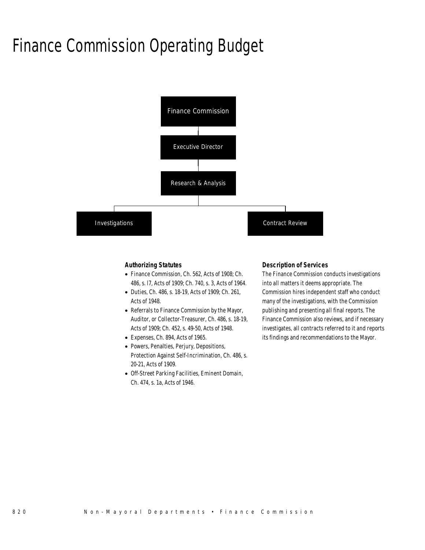## Finance Commission Operating Budget



#### *Authorizing Statutes*

- Finance Commission, Ch. 562, Acts of 1908; Ch. 486, s. l7, Acts of 1909; Ch. 740, s. 3, Acts of 1964.
- Duties, Ch. 486, s. 18-19, Acts of 1909; Ch. 261, Acts of 1948.
- Referrals to Finance Commission by the Mayor, Auditor, or Collector-Treasurer, Ch. 486, s. 18-19, Acts of 1909; Ch. 452, s. 49-50, Acts of 1948.
- Expenses, Ch. 894, Acts of 1965.
- Powers, Penalties, Perjury, Depositions, Protection Against Self-Incrimination, Ch. 486, s. 20-21, Acts of 1909.
- Off-Street Parking Facilities, Eminent Domain, Ch. 474, s. 1a, Acts of 1946.

#### *Description of Services*

The Finance Commission conducts investigations into all matters it deems appropriate. The Commission hires independent staff who conduct many of the investigations, with the Commission publishing and presenting all final reports. The Finance Commission also reviews, and if necessary investigates, all contracts referred to it and reports its findings and recommendations to the Mayor.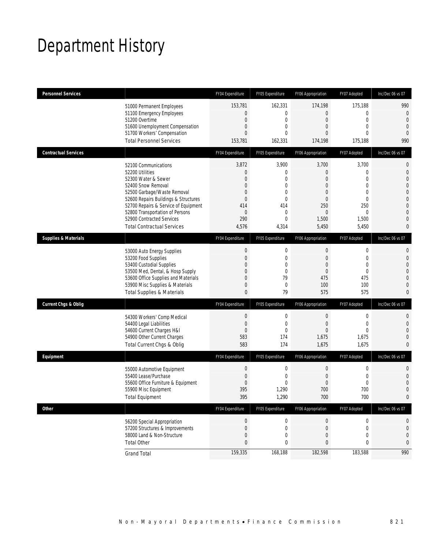## Department History

| <b>Personnel Services</b>       |                                                                                                                                                                                                                                                                                                          | FY04 Expenditure                                                                                                          | FY05 Expenditure                                                                                                                      | FY06 Appropriation                                                                     | FY07 Adopted                                                                                               | Inc/Dec 06 vs 07                                                                                                                       |
|---------------------------------|----------------------------------------------------------------------------------------------------------------------------------------------------------------------------------------------------------------------------------------------------------------------------------------------------------|---------------------------------------------------------------------------------------------------------------------------|---------------------------------------------------------------------------------------------------------------------------------------|----------------------------------------------------------------------------------------|------------------------------------------------------------------------------------------------------------|----------------------------------------------------------------------------------------------------------------------------------------|
|                                 | 51000 Permanent Employees<br>51100 Emergency Employees<br>51200 Overtime<br>51600 Unemployment Compensation<br>51700 Workers' Compensation                                                                                                                                                               | 153,781<br>0<br>$\overline{0}$<br>$\overline{0}$<br>$\overline{0}$                                                        | 162,331<br>$\mathbf{0}$<br>$\mathbf{0}$<br>$\mathbf{0}$<br>$\theta$                                                                   | 174,198<br>0<br>$\overline{0}$<br>0<br>$\Omega$                                        | 175,188<br>$\overline{0}$<br>$\overline{0}$<br>$\overline{0}$<br>$\theta$                                  | 990<br>$\mathbf 0$<br>$\overline{0}$<br>$\overline{0}$<br>$\mathbf{0}$                                                                 |
|                                 | <b>Total Personnel Services</b>                                                                                                                                                                                                                                                                          | 153,781                                                                                                                   | 162,331                                                                                                                               | 174,198                                                                                | 175,188                                                                                                    | 990                                                                                                                                    |
| <b>Contractual Services</b>     |                                                                                                                                                                                                                                                                                                          | FY04 Expenditure                                                                                                          | FY05 Expenditure                                                                                                                      | FY06 Appropriation                                                                     | FY07 Adopted                                                                                               | Inc/Dec 06 vs 07                                                                                                                       |
|                                 | 52100 Communications<br>52200 Utilities<br>52300 Water & Sewer<br>52400 Snow Removal<br>52500 Garbage/Waste Removal<br>52600 Repairs Buildings & Structures<br>52700 Repairs & Service of Equipment<br>52800 Transportation of Persons<br>52900 Contracted Services<br><b>Total Contractual Services</b> | 3,872<br>0<br>$\overline{0}$<br>$\overline{0}$<br>$\mathbf{0}$<br>$\overline{0}$<br>414<br>$\overline{0}$<br>290<br>4,576 | 3,900<br>$\mathbf{0}$<br>$\mathbf{0}$<br>$\mathbf{0}$<br>$\mathbf{0}$<br>$\mathbf{0}$<br>414<br>$\mathbf{0}$<br>$\mathbf{0}$<br>4,314 | 3,700<br>0<br>$\overline{0}$<br>0<br>0<br>0<br>250<br>$\overline{0}$<br>1,500<br>5,450 | 3,700<br>0<br>$\overline{0}$<br>$\overline{0}$<br>0<br>$\overline{0}$<br>250<br>$\Omega$<br>1,500<br>5,450 | 0<br>$\theta$<br>$\mathbf{0}$<br>$\boldsymbol{0}$<br>$\mathbf 0$<br>$\mathbf 0$<br>$\mathbf 0$<br>$\mathbf{0}$<br>$\theta$<br>$\bf{0}$ |
| <b>Supplies &amp; Materials</b> |                                                                                                                                                                                                                                                                                                          | FY04 Expenditure                                                                                                          | FY05 Expenditure                                                                                                                      | FY06 Appropriation                                                                     | FY07 Adopted                                                                                               | Inc/Dec 06 vs 07                                                                                                                       |
|                                 | 53000 Auto Energy Supplies<br>53200 Food Supplies<br>53400 Custodial Supplies<br>53500 Med, Dental, & Hosp Supply<br>53600 Office Supplies and Materials<br>53900 Misc Supplies & Materials<br>Total Supplies & Materials                                                                                | $\mathbf 0$<br>$\overline{0}$<br>0<br>$\mathbf{0}$<br>$\overline{0}$<br>$\mathbf{0}$<br>$\mathbf{0}$                      | $\mathbf 0$<br>$\mathbf 0$<br>$\mathbf{0}$<br>$\mathbf 0$<br>79<br>$\mathbf{0}$<br>79                                                 | $\mathbf 0$<br>0<br>$\mathbf{0}$<br>$\mathbf{0}$<br>475<br>100<br>575                  | 0<br>$\overline{0}$<br>$\overline{0}$<br>$\mathbf{0}$<br>475<br>100<br>575                                 | 0<br>$\theta$<br>$\boldsymbol{0}$<br>$\mathbf 0$<br>$\mathbf{0}$<br>$\mathbf 0$<br>$\bf{0}$                                            |
| <b>Current Chgs &amp; Oblig</b> |                                                                                                                                                                                                                                                                                                          | FY04 Expenditure                                                                                                          | FY05 Expenditure                                                                                                                      | FY06 Appropriation                                                                     | FY07 Adopted                                                                                               | Inc/Dec 06 vs 07                                                                                                                       |
|                                 | 54300 Workers' Comp Medical<br>54400 Legal Liabilities<br>54600 Current Charges H&I<br>54900 Other Current Charges<br>Total Current Chgs & Oblig                                                                                                                                                         | $\mathbf 0$<br>$\mathbf{0}$<br>$\mathbf{0}$<br>583<br>583                                                                 | $\mathbf 0$<br>$\mathbf 0$<br>$\mathbf{0}$<br>174<br>174                                                                              | 0<br>$\mathbf{0}$<br>$\overline{0}$<br>1,675<br>1,675                                  | 0<br>$\mathbf 0$<br>$\overline{0}$<br>1,675<br>1,675                                                       | $\mathbf{0}$<br>$\mathbf 0$<br>$\boldsymbol{0}$<br>$\theta$<br>$\bf{0}$                                                                |
| Equipment                       |                                                                                                                                                                                                                                                                                                          | FY04 Expenditure                                                                                                          | FY05 Expenditure                                                                                                                      | FY06 Appropriation                                                                     | FY07 Adopted                                                                                               | Inc/Dec 06 vs 07                                                                                                                       |
|                                 | 55000 Automotive Equipment<br>55400 Lease/Purchase<br>55600 Office Furniture & Equipment<br>55900 Misc Equipment<br><b>Total Equipment</b>                                                                                                                                                               | 0<br>$\mathbf{0}$<br>$\Omega$<br>395<br>395                                                                               | $\mathbf 0$<br>$\mathbf{0}$<br>$\Omega$<br>1,290<br>1,290                                                                             | 0<br>$\mathbf 0$<br>$\overline{0}$<br>700<br>700                                       | $\mathbf 0$<br>$\mathbf 0$<br>$\Omega$<br>700<br>700                                                       | 0<br>$\mathbf 0$<br>$\theta$<br>$\boldsymbol{0}$<br>$\Omega$                                                                           |
| <b>Other</b>                    |                                                                                                                                                                                                                                                                                                          | FY04 Expenditure                                                                                                          | FY05 Expenditure                                                                                                                      | FY06 Appropriation                                                                     | FY07 Adopted                                                                                               | Inc/Dec 06 vs 07                                                                                                                       |
|                                 | 56200 Special Appropriation<br>57200 Structures & Improvements<br>58000 Land & Non-Structure<br><b>Total Other</b>                                                                                                                                                                                       | $\boldsymbol{0}$<br>$\boldsymbol{0}$<br>$\mathbf{0}$<br>$\bf{0}$                                                          | $\mathbf 0$<br>$\mathbf 0$<br>$\mathbf 0$<br>$\bf{0}$                                                                                 | 0<br>0<br>0<br>0                                                                       | $\mathbf 0$<br>0<br>0<br>0                                                                                 | 0<br>$\theta$<br>$\boldsymbol{0}$<br>$\pmb{0}$                                                                                         |
|                                 | <b>Grand Total</b>                                                                                                                                                                                                                                                                                       | 159,335                                                                                                                   | 168,188                                                                                                                               | 182,598                                                                                | 183,588                                                                                                    | 990                                                                                                                                    |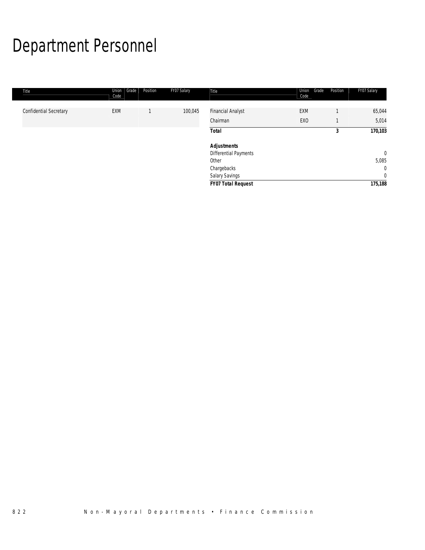# Department Personnel

| Title                  | Grade<br>Union<br>Code | Position | FY07 Salary | Title                        | Union<br>Grade<br>Code | Position | FY07 Salary    |
|------------------------|------------------------|----------|-------------|------------------------------|------------------------|----------|----------------|
| Confidential Secretary | EXM                    |          | 100,045     | <b>Financial Analyst</b>     | <b>EXM</b>             |          | 65,044         |
|                        |                        |          |             | Chairman                     | EXO                    |          | 5,014          |
|                        |                        |          |             | <b>Total</b>                 |                        | 3        | 170,103        |
|                        |                        |          |             | <b>Adjustments</b>           |                        |          |                |
|                        |                        |          |             | <b>Differential Payments</b> |                        |          | $\overline{0}$ |
|                        |                        |          |             | Other                        |                        |          | 5,085          |
|                        |                        |          |             | Chargebacks                  |                        |          | $\overline{0}$ |
|                        |                        |          |             | Salary Savings               |                        |          | $\overline{0}$ |
|                        |                        |          |             | <b>FY07 Total Request</b>    |                        |          | 175,188        |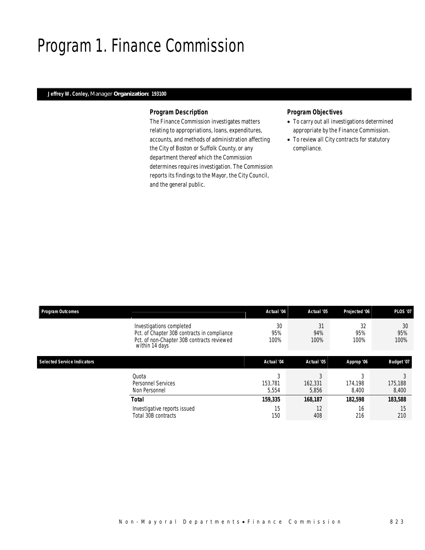## Program 1. Finance Commission

### *Jeffrey W. Conley, Manager Organization: 193100*

#### *Program Description*

The Finance Commission investigates matters relating to appropriations, loans, expenditures, accounts, and methods of administration affecting the City of Boston or Suffolk County, or any department thereof which the Commission determines requires investigation. The Commission reports its findings to the Mayor, the City Council, and the general public.

#### *Program Objectives*

- To carry out all investigations determined appropriate by the Finance Commission.
- To review all City contracts for statutory compliance.

| <b>Program Outcomes</b>            |                                                                                                                                         | Actual '04            | Actual '05        | Projected '06     | <b>PLOS '07</b>   |  |
|------------------------------------|-----------------------------------------------------------------------------------------------------------------------------------------|-----------------------|-------------------|-------------------|-------------------|--|
|                                    | Investigations completed<br>Pct. of Chapter 30B contracts in compliance<br>Pct. of non-Chapter 30B contracts reviewed<br>within 14 days | 30<br>95%<br>100%     | 31<br>94%<br>100% | 32<br>95%<br>100% | 30<br>95%<br>100% |  |
| <b>Selected Service Indicators</b> |                                                                                                                                         | Actual '04            | Actual '05        | Approp '06        | Budget '07        |  |
|                                    | Quota<br>Personnel Services<br>Non Personnel                                                                                            | 3<br>153.781<br>5,554 | 162,331<br>5,856  | 174.198<br>8,400  | 175,188<br>8,400  |  |
|                                    | Total                                                                                                                                   | 159,335               | 168,187           | 182,598           | 183,588           |  |
|                                    | Investigative reports issued<br>Total 30B contracts                                                                                     | 15<br>150             | 12<br>408         | 16<br>216         | 15<br>210         |  |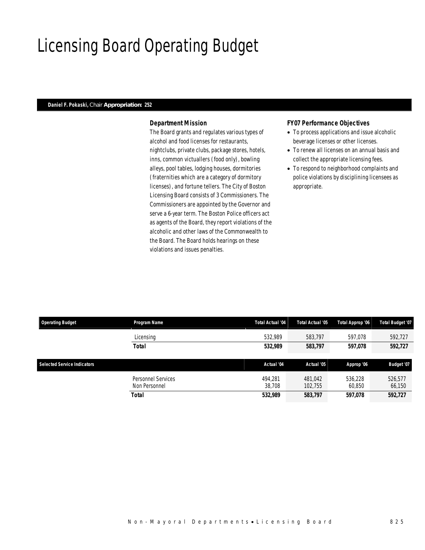## Licensing Board Operating Budget

### *Daniel F. Pokaski, Chair Appropriation: 252*

#### *Department Mission*

The Board grants and regulates various types of alcohol and food licenses for restaurants, nightclubs, private clubs, package stores, hotels, inns, common victuallers (food only), bowling alleys, pool tables, lodging houses, dormitories (fraternities which are a category of dormitory licenses), and fortune tellers. The City of Boston Licensing Board consists of 3 Commissioners. The Commissioners are appointed by the Governor and serve a 6-year term. The Boston Police officers act as agents of the Board, they report violations of the alcoholic and other laws of the Commonwealth to the Board. The Board holds hearings on these violations and issues penalties.

#### *FY07 Performance Objectives*

- To process applications and issue alcoholic beverage licenses or other licenses.
- To renew all licenses on an annual basis and collect the appropriate licensing fees.
- To respond to neighborhood complaints and police violations by disciplining licensees as appropriate.

| <b>Operating Budget</b><br><b>Program Name</b> | Total Actual '04 | Total Actual '05 | Total Approp '06 | <b>Total Budget '07</b> |
|------------------------------------------------|------------------|------------------|------------------|-------------------------|
| Licensing                                      | 532.989          | 583,797          | 597.078          | 592.727                 |
| Total                                          | 532.989          | 583,797          | 597,078          | 592,727                 |
|                                                |                  |                  |                  |                         |
|                                                |                  |                  |                  |                         |
| <b>Selected Service Indicators</b>             | Actual '04       | Actual '05       | Approp '06       | Budget '07              |
| Personnel Services                             | 494.281          | 481.042          | 536.228          | 526.577                 |
| Non Personnel                                  | 38.708           | 102.755          | 60,850           | 66,150                  |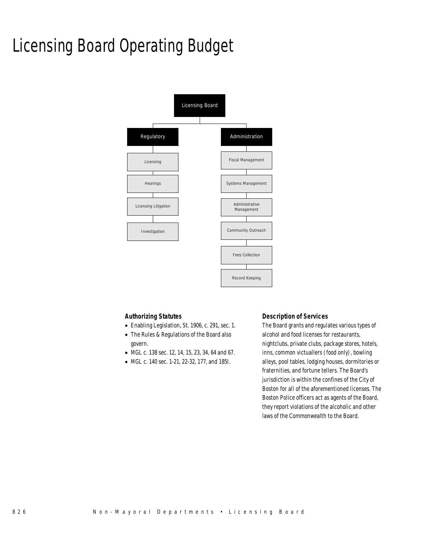# Licensing Board Operating Budget



#### *Authorizing Statutes*

- Enabling Legislation, St. 1906, c. 291, sec. 1.
- The Rules & Regulations of the Board also govern.
- MGL c. 138 sec. 12, 14, 15, 23, 34, 64 and 67.
- MGL c. 140 sec. 1-21, 22-32, 177, and 185I.

#### *Description of Services*

The Board grants and regulates various types of alcohol and food licenses for restaurants, nightclubs, private clubs, package stores, hotels, inns, common victuallers (food only), bowling alleys, pool tables, lodging houses, dormitories or fraternities, and fortune tellers. The Board's jurisdiction is within the confines of the City of Boston for all of the aforementioned licenses. The Boston Police officers act as agents of the Board, they report violations of the alcoholic and other laws of the Commonwealth to the Board.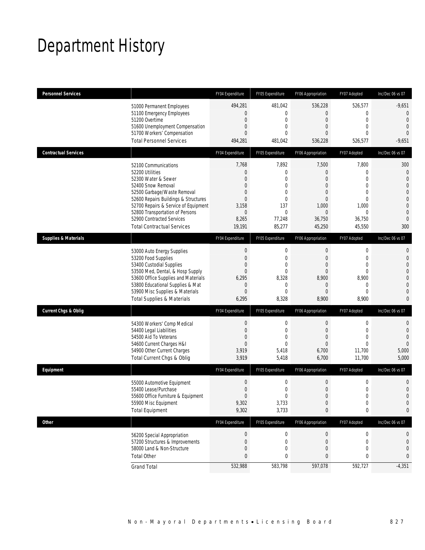# Department History

| <b>Personnel Services</b>       |                                                                                                                                                                                                                                                                                                          | FY04 Expenditure                                                                                                                            | FY05 Expenditure                                                                                             | FY06 Appropriation                                                                                                                       | FY07 Adopted                                                                                                   | Inc/Dec 06 vs 07                                                                                                                                     |
|---------------------------------|----------------------------------------------------------------------------------------------------------------------------------------------------------------------------------------------------------------------------------------------------------------------------------------------------------|---------------------------------------------------------------------------------------------------------------------------------------------|--------------------------------------------------------------------------------------------------------------|------------------------------------------------------------------------------------------------------------------------------------------|----------------------------------------------------------------------------------------------------------------|------------------------------------------------------------------------------------------------------------------------------------------------------|
|                                 | 51000 Permanent Employees<br>51100 Emergency Employees<br>51200 Overtime<br>51600 Unemployment Compensation<br>51700 Workers' Compensation<br><b>Total Personnel Services</b>                                                                                                                            | 494,281<br>$\overline{0}$<br>$\theta$<br>$\mathbf{0}$<br>$\Omega$<br>494,281                                                                | 481,042<br>0<br>$\overline{0}$<br>0<br>$\Omega$<br>481,042                                                   | 536,228<br>$\overline{0}$<br>$\overline{0}$<br>$\overline{0}$<br>$\Omega$<br>536,228                                                     | 526,577<br>$\overline{0}$<br>$\overline{0}$<br>$\overline{0}$<br>$\Omega$<br>526,577                           | $-9,651$<br>$\mathbf 0$<br>$\overline{0}$<br>$\overline{0}$<br>$\overline{0}$<br>$-9,651$                                                            |
| <b>Contractual Services</b>     |                                                                                                                                                                                                                                                                                                          | FY04 Expenditure                                                                                                                            | FY05 Expenditure                                                                                             | FY06 Appropriation                                                                                                                       | FY07 Adopted                                                                                                   | Inc/Dec 06 vs 07                                                                                                                                     |
|                                 | 52100 Communications<br>52200 Utilities<br>52300 Water & Sewer<br>52400 Snow Removal<br>52500 Garbage/Waste Removal<br>52600 Repairs Buildings & Structures<br>52700 Repairs & Service of Equipment<br>52800 Transportation of Persons<br>52900 Contracted Services<br><b>Total Contractual Services</b> | 7,768<br>$\overline{0}$<br>$\overline{0}$<br>$\overline{0}$<br>$\mathbf{0}$<br>$\overline{0}$<br>3,158<br>$\overline{0}$<br>8,265<br>19,191 | 7,892<br>0<br>$\overline{0}$<br>0<br>$\Omega$<br>$\overline{0}$<br>137<br>$\overline{0}$<br>77,248<br>85,277 | 7,500<br>$\overline{0}$<br>$\overline{0}$<br>$\overline{0}$<br>$\overline{0}$<br>$\overline{0}$<br>1,000<br>$\Omega$<br>36,750<br>45,250 | 7,800<br>0<br>$\overline{0}$<br>$\overline{0}$<br>0<br>$\overline{0}$<br>1,000<br>$\Omega$<br>36,750<br>45,550 | 300<br>$\mathbf 0$<br>$\overline{0}$<br>$\overline{0}$<br>$\mathbf 0$<br>$\overline{0}$<br>$\overline{0}$<br>$\overline{0}$<br>$\overline{0}$<br>300 |
| <b>Supplies &amp; Materials</b> |                                                                                                                                                                                                                                                                                                          | FY04 Expenditure                                                                                                                            | FY05 Expenditure                                                                                             | FY06 Appropriation                                                                                                                       | FY07 Adopted                                                                                                   | Inc/Dec 06 vs 07                                                                                                                                     |
|                                 | 53000 Auto Energy Supplies<br>53200 Food Supplies<br>53400 Custodial Supplies<br>53500 Med, Dental, & Hosp Supply<br>53600 Office Supplies and Materials<br>53800 Educational Supplies & Mat<br>53900 Misc Supplies & Materials<br><b>Total Supplies &amp; Materials</b>                                 | $\mathbf 0$<br>$\mathbf{0}$<br>$\mathbf{0}$<br>$\overline{0}$<br>6,295<br>$\theta$<br>$\overline{0}$<br>6,295                               | $\mathbf 0$<br>$\mathbf{0}$<br>$\overline{0}$<br>$\Omega$<br>8,328<br>0<br>$\overline{0}$<br>8,328           | $\boldsymbol{0}$<br>$\boldsymbol{0}$<br>$\overline{0}$<br>$\overline{0}$<br>8,900<br>0<br>$\mathbf{0}$<br>8,900                          | 0<br>$\overline{0}$<br>$\overline{0}$<br>0<br>8,900<br>$\mathbf 0$<br>$\Omega$<br>8,900                        | $\mathbf 0$<br>$\mathbf{0}$<br>$\overline{0}$<br>$\mathbf 0$<br>$\overline{0}$<br>$\overline{0}$<br>$\overline{0}$<br>$\mathbf{0}$                   |
| <b>Current Chgs &amp; Oblig</b> |                                                                                                                                                                                                                                                                                                          | FY04 Expenditure                                                                                                                            | FY05 Expenditure                                                                                             | FY06 Appropriation                                                                                                                       | FY07 Adopted                                                                                                   | Inc/Dec 06 vs 07                                                                                                                                     |
|                                 | 54300 Workers' Comp Medical<br>54400 Legal Liabilities<br>54500 Aid To Veterans<br>54600 Current Charges H&I<br>54900 Other Current Charges<br>Total Current Chgs & Oblig                                                                                                                                | $\theta$<br>$\mathbf{0}$<br>$\Omega$<br>$\overline{0}$<br>3,919<br>3,919                                                                    | $\mathbf 0$<br>$\overline{0}$<br>$\Omega$<br>$\Omega$<br>5,418<br>5,418                                      | $\boldsymbol{0}$<br>$\boldsymbol{0}$<br>$\overline{0}$<br>$\overline{0}$<br>6,700<br>6,700                                               | $\mathbf 0$<br>$\overline{0}$<br>$\Omega$<br>$\Omega$<br>11,700<br>11,700                                      | $\mathbf 0$<br>$\mathbf 0$<br>$\overline{0}$<br>$\Omega$<br>5,000<br>5,000                                                                           |
| Equipment                       |                                                                                                                                                                                                                                                                                                          | FY04 Expenditure                                                                                                                            | FY05 Expenditure                                                                                             | FY06 Appropriation                                                                                                                       | FY07 Adopted                                                                                                   | Inc/Dec 06 vs 07                                                                                                                                     |
|                                 | 55000 Automotive Equipment<br>55400 Lease/Purchase<br>55600 Office Furniture & Equipment<br>55900 Misc Equipment<br><b>Total Equipment</b>                                                                                                                                                               | $\theta$<br>$\mathbf 0$<br>$\Omega$<br>9,302<br>9,302                                                                                       | $\mathbf 0$<br>$\overline{0}$<br>$\Omega$<br>3,733<br>3,733                                                  | $\boldsymbol{0}$<br>$\mathbf 0$<br>$\cap$<br>$\boldsymbol{0}$<br>0                                                                       | 0<br>$\overline{0}$<br>$\Omega$<br>$\boldsymbol{0}$<br>0                                                       | $\mathbf 0$<br>$\mathbf 0$<br>$\Omega$<br>$\overline{0}$<br>0                                                                                        |
| <b>Other</b>                    |                                                                                                                                                                                                                                                                                                          | FY04 Expenditure                                                                                                                            | FY05 Expenditure                                                                                             | FY06 Appropriation                                                                                                                       | FY07 Adopted                                                                                                   | Inc/Dec 06 vs 07                                                                                                                                     |
|                                 | 56200 Special Appropriation<br>57200 Structures & Improvements<br>58000 Land & Non-Structure<br><b>Total Other</b>                                                                                                                                                                                       | $\boldsymbol{0}$<br>$\mathbf 0$<br>$\mathbf 0$<br>$\mathbf{0}$                                                                              | $\boldsymbol{0}$<br>$\mathbf 0$<br>0<br>0                                                                    | $\boldsymbol{0}$<br>$\mathbf 0$<br>$\mathbf 0$<br>0                                                                                      | $\boldsymbol{0}$<br>0<br>0<br>0                                                                                | 0<br>0<br>$\overline{0}$<br>$\mathbf{0}$                                                                                                             |
|                                 | <b>Grand Total</b>                                                                                                                                                                                                                                                                                       | 532,988                                                                                                                                     | 583,798                                                                                                      | 597,078                                                                                                                                  | 592,727                                                                                                        | $-4,351$                                                                                                                                             |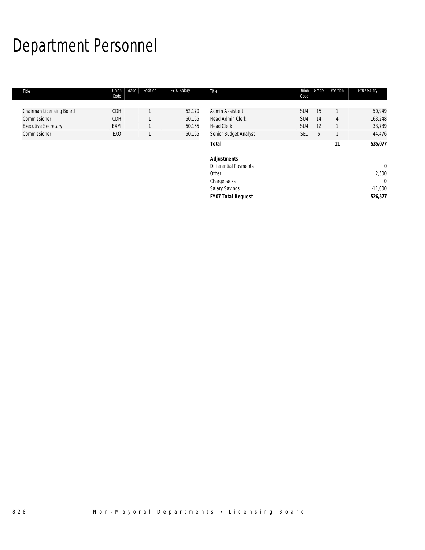# Department Personnel

| Title                      | Grade<br>Union<br>Code | Position | FY07 Salary | Title                     | Union<br>Code   | Grade | Position | FY07 Salary |
|----------------------------|------------------------|----------|-------------|---------------------------|-----------------|-------|----------|-------------|
|                            |                        |          |             |                           |                 |       |          |             |
| Chairman Licensing Board   | <b>CDH</b>             |          | 62,170      | Admin Assistant           | SU <sub>4</sub> | 15    |          | 50,949      |
| Commissioner               | <b>CDH</b>             |          | 60,165      | <b>Head Admin Clerk</b>   | SU <sub>4</sub> | 14    | 4        | 163,248     |
| <b>Executive Secretary</b> | <b>EXM</b>             |          | 60,165      | <b>Head Clerk</b>         | SU <sub>4</sub> | 12    | 1        | 33,739      |
| Commissioner               | EX <sub>0</sub>        |          | 60,165      | Senior Budget Analyst     | SE <sub>1</sub> | 6     |          | 44,476      |
|                            |                        |          |             | <b>Total</b>              |                 |       | 11       | 535,077     |
|                            |                        |          |             | Adjustments               |                 |       |          |             |
|                            |                        |          |             | Differential Payments     |                 |       |          | $\mathbf 0$ |
|                            |                        |          |             | Other                     |                 |       |          | 2,500       |
|                            |                        |          |             | Chargebacks               |                 |       |          | $\Omega$    |
|                            |                        |          |             | Salary Savings            |                 |       |          | $-11,000$   |
|                            |                        |          |             | <b>FY07 Total Request</b> |                 |       |          | 526,577     |